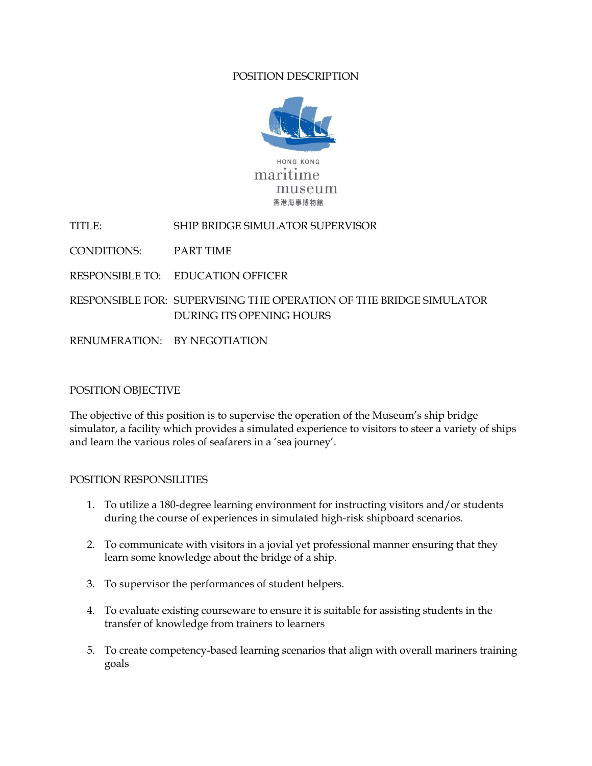## POSITION DESCRIPTION



TITLE: SHIP BRIDGE SIMULATOR SUPERVISOR

CONDITIONS: PART TIME

RESPONSIBLE TO: EDUCATION OFFICER

RESPONSIBLE FOR: SUPERVISING THE OPERATION OF THE BRIDGE SIMULATOR DURING ITS OPENING HOURS

RENUMERATION: BY NEGOTIATION

## POSITION OBJECTIVE

The objective of this position is to supervise the operation of the Museum's ship bridge simulator, a facility which provides a simulated experience to visitors to steer a variety of ships and learn the various roles of seafarers in a 'sea journey'.

## POSITION RESPONSILITIES

- 1. To utilize a 180-degree learning environment for instructing visitors and/or students during the course of experiences in simulated high-risk shipboard scenarios.
- 2. To communicate with visitors in a jovial yet professional manner ensuring that they learn some knowledge about the bridge of a ship.
- 3. To supervisor the performances of student helpers.
- 4. To evaluate existing courseware to ensure it is suitable for assisting students in the transfer of knowledge from trainers to learners
- 5. To create competency-based learning scenarios that align with overall mariners training goals